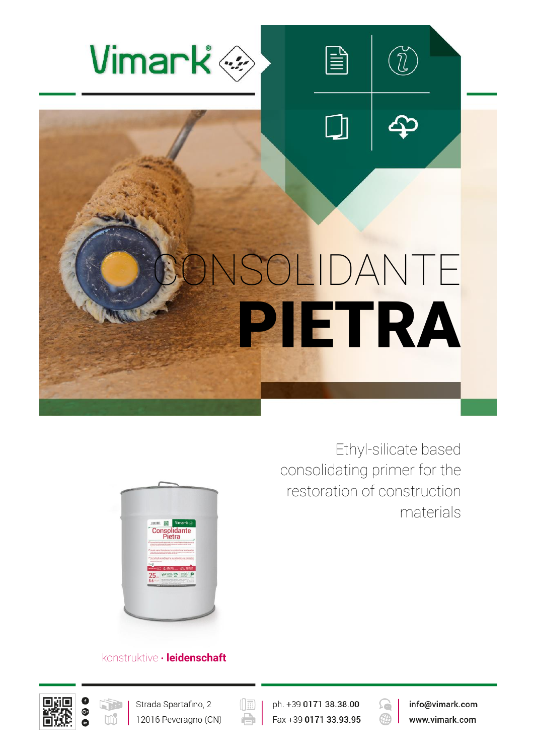

# SOLIDANTE PIETRA

 $\bm{\mathbb{E}}$ 

 $\Box$ 

Ethyl-silicate based consolidating primer for the restoration of construction materials

요

⊕

info@vimark.com

www.vimark.com



# konstruktive **∙ leidenschaft**





 $(\boxed{\mathbb{E}}$ ph. +39 0171 38.38.00 e Fax +39 0171 33.93.95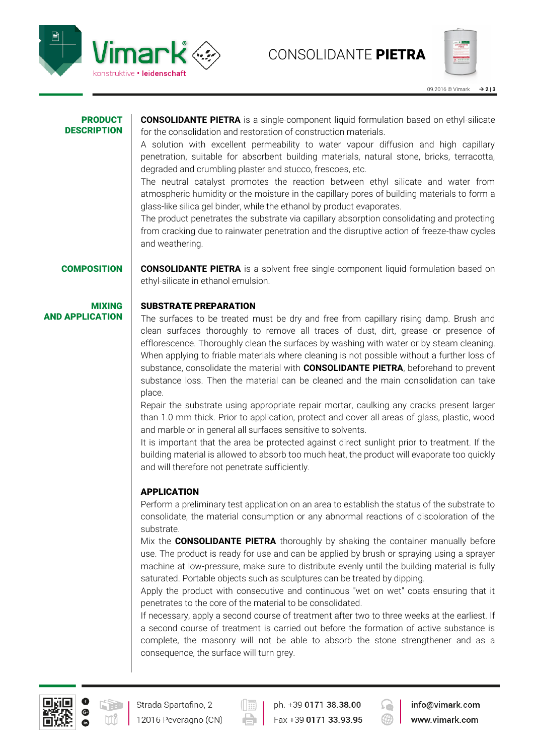



### PRODUCT **DESCRIPTION**

**CONSOLIDANTE PIETRA** is a single-component liquid formulation based on ethyl-silicate for the consolidation and restoration of construction materials.

A solution with excellent permeability to water vapour diffusion and high capillary penetration, suitable for absorbent building materials, natural stone, bricks, terracotta, degraded and crumbling plaster and stucco, frescoes, etc.

The neutral catalyst promotes the reaction between ethyl silicate and water from atmospheric humidity or the moisture in the capillary pores of building materials to form a glass-like silica gel binder, while the ethanol by product evaporates.

The product penetrates the substrate via capillary absorption consolidating and protecting from cracking due to rainwater penetration and the disruptive action of freeze-thaw cycles and weathering.

# **COMPOSITION CONSOLIDANTE PIETRA** is a solvent free single-component liquid formulation based on ethyl-silicate in ethanol emulsion.

## MIXING AND APPLICATION

## SUBSTRATE PREPARATION

The surfaces to be treated must be dry and free from capillary rising damp. Brush and clean surfaces thoroughly to remove all traces of dust, dirt, grease or presence of efflorescence. Thoroughly clean the surfaces by washing with water or by steam cleaning. When applying to friable materials where cleaning is not possible without a further loss of substance, consolidate the material with **CONSOLIDANTE PIETRA**, beforehand to prevent substance loss. Then the material can be cleaned and the main consolidation can take place.

Repair the substrate using appropriate repair mortar, caulking any cracks present larger than 1.0 mm thick. Prior to application, protect and cover all areas of glass, plastic, wood and marble or in general all surfaces sensitive to solvents.

It is important that the area be protected against direct sunlight prior to treatment. If the building material is allowed to absorb too much heat, the product will evaporate too quickly and will therefore not penetrate sufficiently.

# APPLICATION

Perform a preliminary test application on an area to establish the status of the substrate to consolidate, the material consumption or any abnormal reactions of discoloration of the substrate.

Mix the **CONSOLIDANTE PIETRA** thoroughly by shaking the container manually before use. The product is ready for use and can be applied by brush or spraying using a sprayer machine at low-pressure, make sure to distribute evenly until the building material is fully saturated. Portable objects such as sculptures can be treated by dipping.

Apply the product with consecutive and continuous "wet on wet" coats ensuring that it penetrates to the core of the material to be consolidated.

If necessary, apply a second course of treatment after two to three weeks at the earliest. If a second course of treatment is carried out before the formation of active substance is complete, the masonry will not be able to absorb the stone strengthener and as a consequence, the surface will turn grey.





Strada Spartafino, 2 12016 Peveragno (CN)

ph. +39 0171 38.38.00 Fax +39 0171 33.93.95



info@vimark.com www.vimark.com